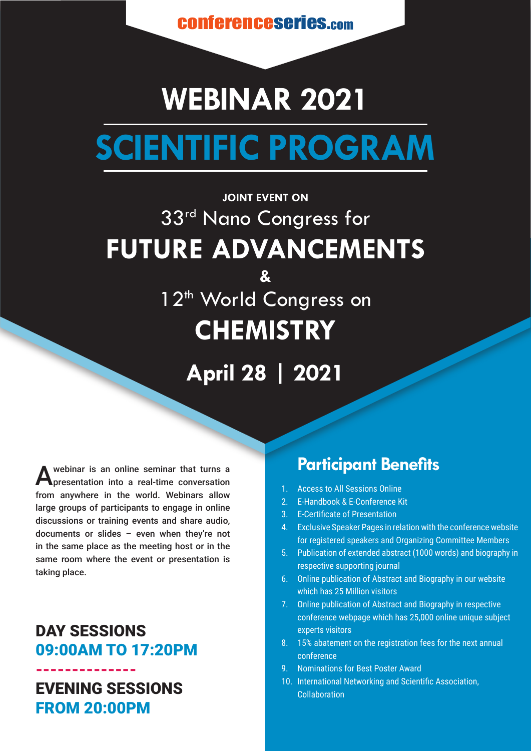conferenceseries.com

# **WEBINAR 2021 SCIENTIFIC PROGRAM**

## **JOINT EVENT ON** 33rd Nano Congress for **FUTURE ADVANCEMENTS &** 1<sup>2th</sup> World Congress on **CHEMISTRY**

**April 28 | 2021**

A webinar is an online seminar that turns a<br>**A** presentation into a real-time conversation from anywhere in the world. Webinars allow large groups of participants to engage in online discussions or training events and share audio, documents or slides – even when they're not in the same place as the meeting host or in the same room where the event or presentation is taking place.

#### DAY SESSIONS 09:00AM TO 17:20PM

-------------- EVENING SESSIONS FROM 20:00PM

### **Participant Benefits**

- 1. Access to All Sessions Online
- 2. E-Handbook & E-Conference Kit
- 3. E-Certificate of Presentation
- 4. Exclusive Speaker Pages in relation with the conference website for registered speakers and Organizing Committee Members
- 5. Publication of extended abstract (1000 words) and biography in respective supporting journal
- 6. Online publication of Abstract and Biography in our website which has 25 Million visitors
- 7. Online publication of Abstract and Biography in respective conference webpage which has 25,000 online unique subject experts visitors
- 8. 15% abatement on the registration fees for the next annual conference
- 9. Nominations for Best Poster Award
- 10. International Networking and Scientific Association, Collaboration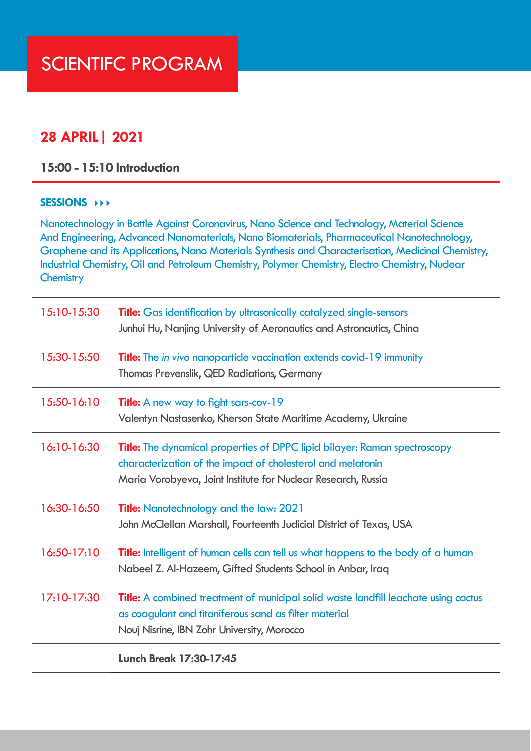#### **28 APRIL| 2021**

**15:00 - 15:10 Introduction**

#### **SESSIONS**

Nanotechnology in Battle Against Coronavirus, Nano Science and Technology, Material Science And Engineering, Advanced Nanomaterials, Nano Biomaterials, Pharmaceutical Nanotechnology, Graphene and its Applications, Nano Materials Synthesis and Characterisation, Medicinal Chemistry, Industrial Chemistry, Oil and Petroleum Chemistry, Polymer Chemistry, Electro Chemistry, Nuclear **Chemistry** 

| 15:10-15:30   | <b>Title:</b> Gas identification by ultrasonically catalyzed single-sensors<br>Junhui Hu, Nanjing University of Aeronautics and Astronautics, China                                                              |
|---------------|------------------------------------------------------------------------------------------------------------------------------------------------------------------------------------------------------------------|
| 15:30-15:50   | <b>Title:</b> The in vivo nanoparticle vaccination extends covid-19 immunity<br>Thomas Prevenslik, QED Radiations, Germany                                                                                       |
| 15:50-16:10   | <b>Title:</b> A new way to fight sars-cov-19<br>Valentyn Nastasenko, Kherson State Maritime Academy, Ukraine                                                                                                     |
| 16:10-16:30   | <b>Title:</b> The dynamical properties of DPPC lipid bilayer: Raman spectroscopy<br>characterization of the impact of cholesterol and melatonin<br>Maria Vorobyeva, Joint Institute for Nuclear Research, Russia |
| 16:30-16:50   | <b>Title:</b> Nanotechnology and the law: 2021<br>John McClellan Marshall, Fourteenth Judicial District of Texas, USA                                                                                            |
| $16:50-17:10$ | <b>Title:</b> Intelligent of human cells can tell us what happens to the body of a human<br>Nabeel Z. Al-Hazeem, Gifted Students School in Anbar, Iraq                                                           |
| 17:10-17:30   | <b>Title:</b> A combined treatment of municipal solid waste landfill leachate using cactus<br>as coagulant and titaniferous sand as filter material<br>Nouj Nisrine, IBN Zohr University, Morocco                |
|               | <b>Lunch Break 17:30-17:45</b>                                                                                                                                                                                   |